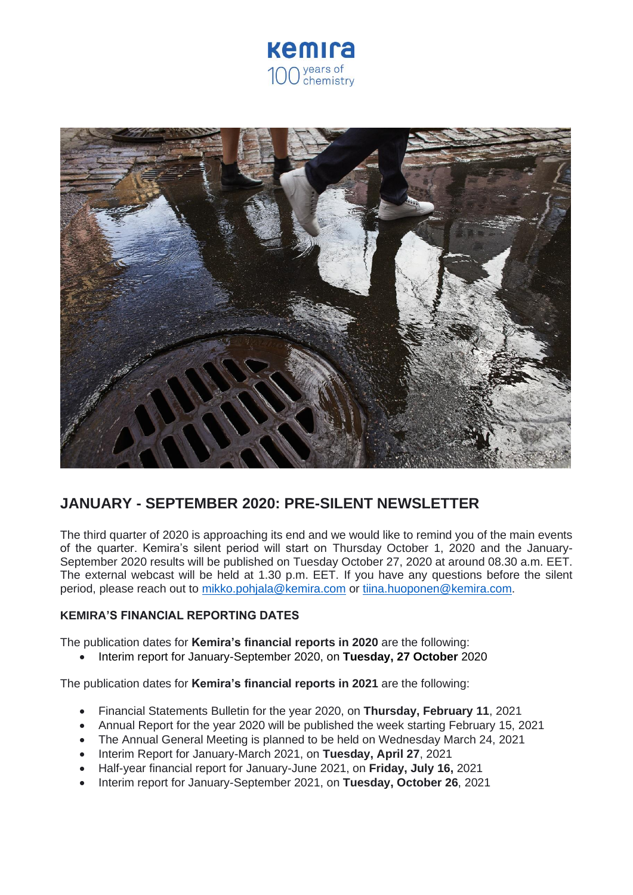



# **JANUARY - SEPTEMBER 2020: PRE-SILENT NEWSLETTER**

The third quarter of 2020 is approaching its end and we would like to remind you of the main events of the quarter. Kemira's silent period will start on Thursday October 1, 2020 and the January-September 2020 results will be published on Tuesday October 27, 2020 at around 08.30 a.m. EET. The external webcast will be held at 1.30 p.m. EET. If you have any questions before the silent period, please reach out to [mikko.pohjala@kemira.com](mailto:mikko.pohjala@kemira.com) or [tiina.huoponen@kemira.com.](mailto:tiina.huoponen@kemira.com)

## **KEMIRA'S FINANCIAL REPORTING DATES**

The publication dates for **Kemira's financial reports in 2020** are the following:

• Interim report for January-September 2020, on **Tuesday, 27 October** 2020

The publication dates for **Kemira's financial reports in 2021** are the following:

- Financial Statements Bulletin for the year 2020, on **Thursday, February 11**, 2021
- Annual Report for the year 2020 will be published the week starting February 15, 2021
- The Annual General Meeting is planned to be held on Wednesday March 24, 2021
- Interim Report for January-March 2021, on **Tuesday, April 27**, 2021
- Half-year financial report for January-June 2021, on **Friday, July 16,** 2021
- Interim report for January-September 2021, on **Tuesday, October 26**, 2021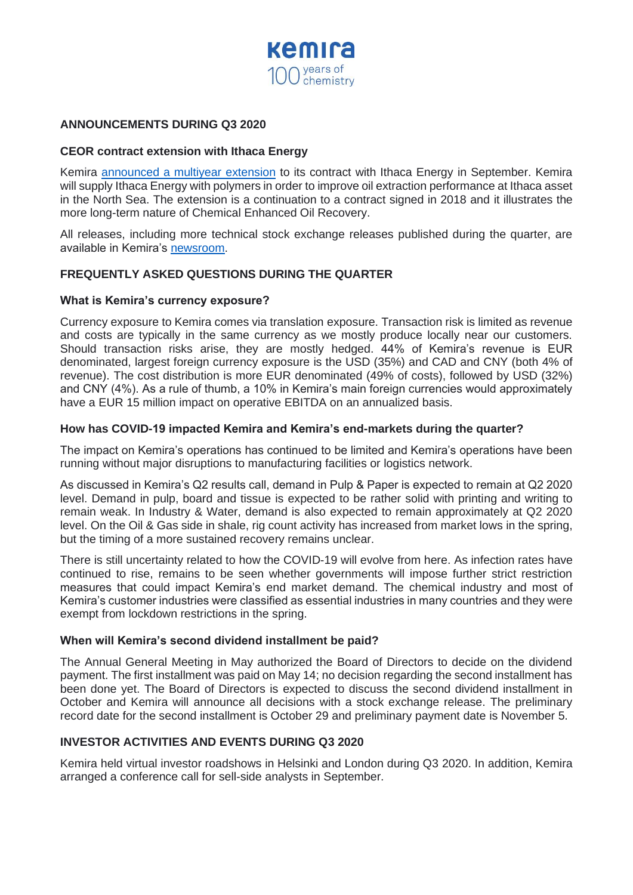

# **ANNOUNCEMENTS DURING Q3 2020**

## **CEOR contract extension with Ithaca Energy**

Kemira [announced a multiyear extension](https://www.kemira.com/company/media/newsroom/releases/kemira-announces-long-term-polymer-supply-agreement-extension-with-ithaca-energy/) to its contract with Ithaca Energy in September. Kemira will supply Ithaca Energy with polymers in order to improve oil extraction performance at Ithaca asset in the North Sea. The extension is a continuation to a contract signed in 2018 and it illustrates the more long-term nature of Chemical Enhanced Oil Recovery.

All releases, including more technical stock exchange releases published during the quarter, are available in Kemira's [newsroom.](https://www.kemira.com/company/media/newsroom/releases/kemira-announces-long-term-polymer-supply-agreement-extension-with-ithaca-energy/)

## **FREQUENTLY ASKED QUESTIONS DURING THE QUARTER**

#### **What is Kemira's currency exposure?**

Currency exposure to Kemira comes via translation exposure. Transaction risk is limited as revenue and costs are typically in the same currency as we mostly produce locally near our customers. Should transaction risks arise, they are mostly hedged. 44% of Kemira's revenue is EUR denominated, largest foreign currency exposure is the USD (35%) and CAD and CNY (both 4% of revenue). The cost distribution is more EUR denominated (49% of costs), followed by USD (32%) and CNY (4%). As a rule of thumb, a 10% in Kemira's main foreign currencies would approximately have a EUR 15 million impact on operative EBITDA on an annualized basis.

#### **How has COVID-19 impacted Kemira and Kemira's end-markets during the quarter?**

The impact on Kemira's operations has continued to be limited and Kemira's operations have been running without major disruptions to manufacturing facilities or logistics network.

As discussed in Kemira's Q2 results call, demand in Pulp & Paper is expected to remain at Q2 2020 level. Demand in pulp, board and tissue is expected to be rather solid with printing and writing to remain weak. In Industry & Water, demand is also expected to remain approximately at Q2 2020 level. On the Oil & Gas side in shale, rig count activity has increased from market lows in the spring, but the timing of a more sustained recovery remains unclear.

There is still uncertainty related to how the COVID-19 will evolve from here. As infection rates have continued to rise, remains to be seen whether governments will impose further strict restriction measures that could impact Kemira's end market demand. The chemical industry and most of Kemira's customer industries were classified as essential industries in many countries and they were exempt from lockdown restrictions in the spring.

#### **When will Kemira's second dividend installment be paid?**

The Annual General Meeting in May authorized the Board of Directors to decide on the dividend payment. The first installment was paid on May 14; no decision regarding the second installment has been done yet. The Board of Directors is expected to discuss the second dividend installment in October and Kemira will announce all decisions with a stock exchange release. The preliminary record date for the second installment is October 29 and preliminary payment date is November 5.

# **INVESTOR ACTIVITIES AND EVENTS DURING Q3 2020**

Kemira held virtual investor roadshows in Helsinki and London during Q3 2020. In addition, Kemira arranged a conference call for sell-side analysts in September.